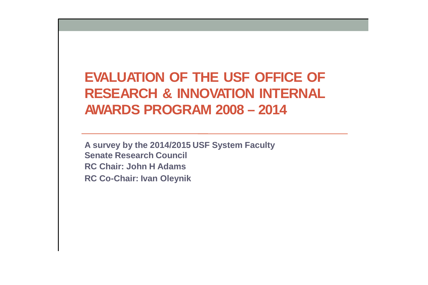**EVALUATION OF THE USF OFFICE OF RESEARCH & INNOVATION INTERNAL AWARDS PROGRAM 2008 – 2014**

**A survey by the 2014/2015 USF System Faculty Senate Research Council RC Chair: John H Adams RC Co-Chair: Ivan Oleynik**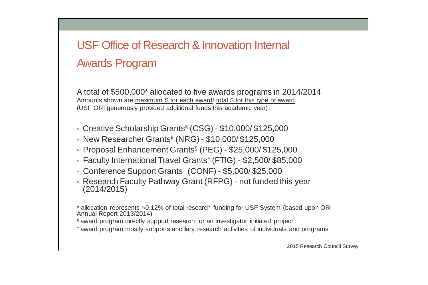## USF Office of Research & Innovation Internal Awards Program

A total of \$500,000\* allocated to five awards programs in 2014/2014 Amounts shown are maximum \$ for each award/ total \$ for this type of award (USF ORI generously provided additional funds this academic year)

- Creative Scholarship Grants§ (CSG) \$10,000/ \$125,000
- New Researcher Grants§ (NRG) \$10,000/ \$125,000
- Proposal Enhancement Grants§ (PEG) \$25,000/ \$125,000
- Faculty International Travel Grants† (FTIG) \$2,500/ \$85,000
- Conference Support Grants† (CONF) \$5,000/ \$25,000
- Research Faculty Pathway Grant (RFPG) not funded this year (2014/2015)

\* allocation represents ≈0.12% of total research funding for USF System (based upon ORI Annual Report 2013/2014)

- § award program directly support research for an investigator initiated project
- † award program mostly supports ancillary research activities of individuals and programs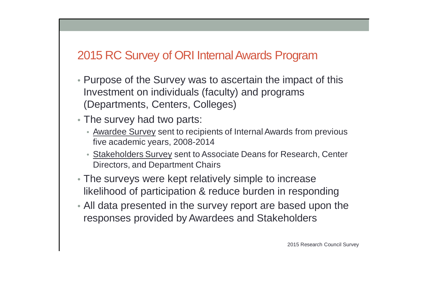### 2015 RC Survey of ORI Internal Awards Program

- Purpose of the Survey was to ascertain the impact of this Investment on individuals (faculty) and programs (Departments, Centers, Colleges)
- The survey had two parts:
	- Awardee Survey sent to recipients of Internal Awards from previous five academic years, 2008-2014
	- **Stakeholders Survey sent to Associate Deans for Research, Center** Directors, and Department Chairs
- The surveys were kept relatively simple to increase likelihood of participation & reduce burden in responding
- All data presented in the survey report are based upon the responses provided by Awardees and Stakeholders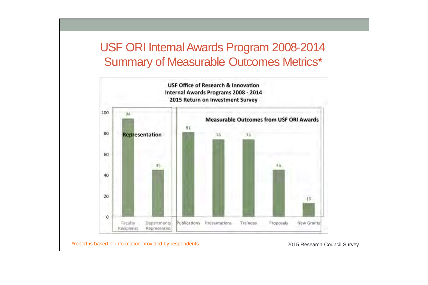### USF ORI InternalAwards Program 2008-2014 Summary of Measurable Outcomes Metrics\*



\*report is based of information provided by respondents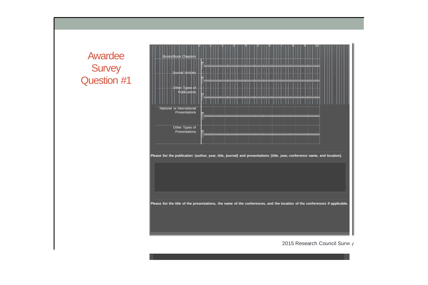#### Awardee **Survey** Question #1

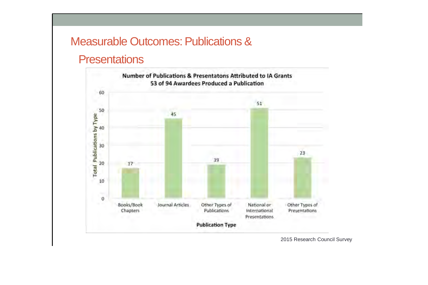### Measurable Outcomes: Publications &

#### **Presentations**

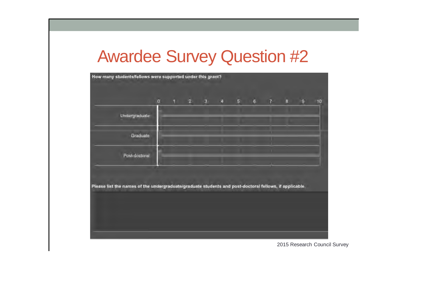# Awardee Survey Question #2

|                                                                                                        | $\alpha$ |  | $1 \quad 2 \quad 3$ |  | 4 5 6 7 8 | g. |
|--------------------------------------------------------------------------------------------------------|----------|--|---------------------|--|-----------|----|
| Undergraduate                                                                                          |          |  |                     |  |           |    |
|                                                                                                        |          |  |                     |  |           |    |
| Graduate                                                                                               |          |  |                     |  |           |    |
| Post-doctoral                                                                                          |          |  |                     |  |           |    |
|                                                                                                        |          |  |                     |  |           |    |
|                                                                                                        |          |  |                     |  |           |    |
| Please list the names of the undergraduate/graduate students and post-doctoral fellows, if applicable. |          |  |                     |  |           |    |
|                                                                                                        |          |  |                     |  |           |    |
|                                                                                                        |          |  |                     |  |           |    |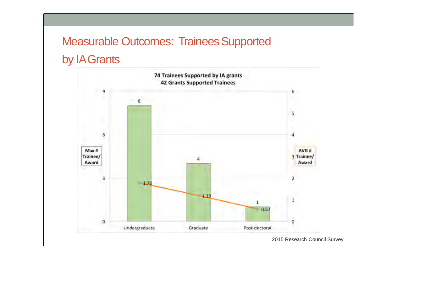### Measurable Outcomes: Trainees Supported

#### by IAGrants



<sup>2015</sup> Research Council Survey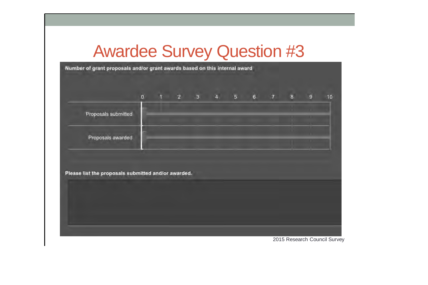## Awardee Survey Question #3

Number of grant proposals and/or grant awards based on this internal award  $1 \qquad 2 \qquad 3 \qquad 4 \qquad 5$  $\alpha$ 6 7 8  $10^{-1}$ Proposals submitted Proposals awarded Please list the proposals submitted and/or awarded.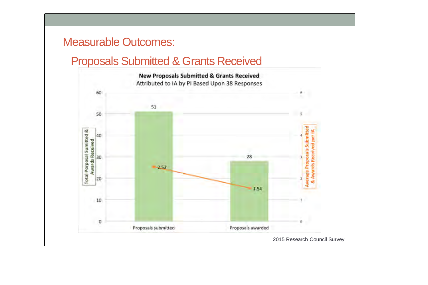#### Measurable Outcomes:

#### Proposals Submitted & Grants Received



<sup>2015</sup> Research Council Survey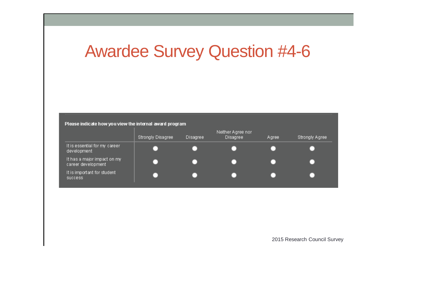# Awardee Survey Question #4-6

Please indicate how you view the internal award program

|                                                   | Strongly Disagree | Disagree | Neither Agree nor<br><b>Disagree</b> | Agree | Strongly Agree |
|---------------------------------------------------|-------------------|----------|--------------------------------------|-------|----------------|
| It is essential for my career<br>development      |                   |          |                                      |       |                |
| It has a major impact on my<br>career development |                   |          |                                      |       |                |
| It is important for student<br><b>SUCCESS</b>     |                   |          |                                      |       |                |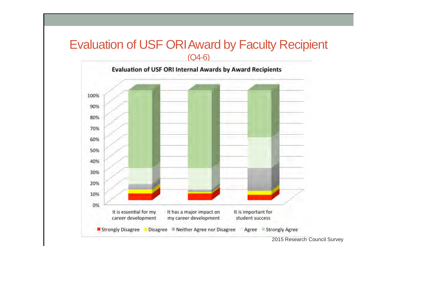#### Evaluation of USF ORIAward by Faculty Recipient (Q4-6)

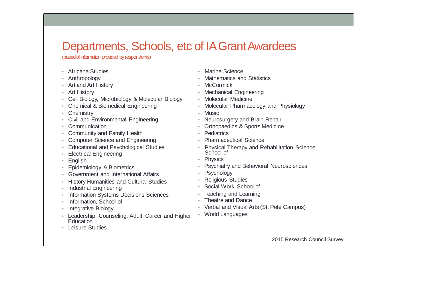### Departments, Schools, etc of IA Grant Awardees

(based of information provided by respondents)

- Africana Studies • Anthropology • Art and Art History • Art History • Cell Biology, Microbiology & Molecular Biology • Chemical & Biomedical Engineering • Chemistry • Civil and Environmental Engineering • Communication • Community and Family Health • Computer Science and Engineering • Educational and Psychological Studies • Electrical Engineering • English • Epidemiology & Biometrics • Government and International Affairs • History Humanities and Cultural Studies • Industrial Engineering • Information Systems Decisions Sciences • Information, School of • Integrative Biology • Leadership, Counseling, Adult, Career and Higher Education • Mathematics and Statistics • McCormick • Mechanical Engineering • Molecular Medicine • Molecular Pharmacology and Physiology • Music • Neurosurgery and Brain Repair • Orthopaedics & Sports Medicine • Pediatrics • Pharmaceutical Science • Physics • Psychology • Religious Studies • Social Work, School of • Teaching and Learning • Theatre and Dance • World Languages
- Leisure Studies

• Marine Science

- Physical Therapy and Rehabilitation Science, School of
- Psychiatry and Behavioral Neurosciences

• Verbal and Visual Arts (St. Pete Campus)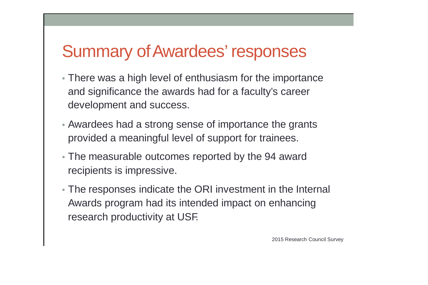## Summary ofAwardees' responses

- There was a high level of enthusiasm for the importance and significance the awards had for a faculty's career development and success.
- Awardees had a strong sense of importance the grants provided a meaningful level of support for trainees.
- The measurable outcomes reported by the 94 award recipients is impressive.
- The responses indicate the ORI investment in the Internal Awards program had its intended impact on enhancing research productivity at USF.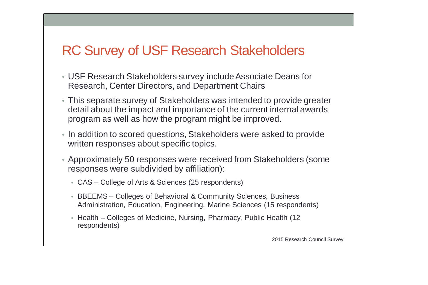## RC Survey of USF Research Stakeholders

- USF Research Stakeholders survey include Associate Deans for Research, Center Directors, and Department Chairs
- This separate survey of Stakeholders was intended to provide greater detail about the impact and importance of the current internal awards program as well as how the program might be improved.
- In addition to scored questions, Stakeholders were asked to provide written responses about specific topics.
- Approximately 50 responses were received from Stakeholders (some responses were subdivided by affiliation):
	- CAS College of Arts & Sciences (25 respondents)
	- BBEEMS Colleges of Behavioral & Community Sciences, Business Administration, Education, Engineering, Marine Sciences (15 respondents)
	- Health Colleges of Medicine, Nursing, Pharmacy, Public Health (12 respondents)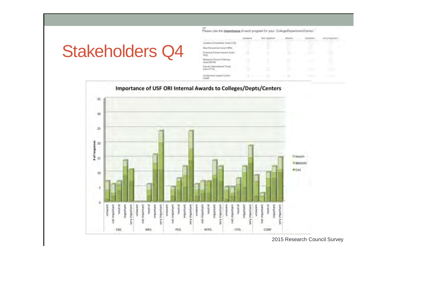# Stakeholders Q4

|                                                   | Linuxier | Not important                               | North | <b>Importint</b>  | Werk Important |
|---------------------------------------------------|----------|---------------------------------------------|-------|-------------------|----------------|
| Dreistine Scholarship (2004) CSD<br>---           |          |                                             |       | <b>STATISTICS</b> |                |
| New Rinksteinler Grant NRS                        |          |                                             |       |                   |                |
| Proponal Enchancement Gram<br>PEG                 | ×        | e                                           | ×     | -                 |                |
| <b>Rosevo Facus Patricio</b><br>Grant RFPG        |          | $\sim$<br>٠                                 |       |                   |                |
| Fandy Namesmond Travel<br><b>Glorid #171G</b>     |          | c                                           |       |                   |                |
| Contentros Support Crise<br>COM<br>statistica con |          | and the second company of the second second |       |                   |                |

or.<br>Please rate the importance of each program for your. College/Department/Center.

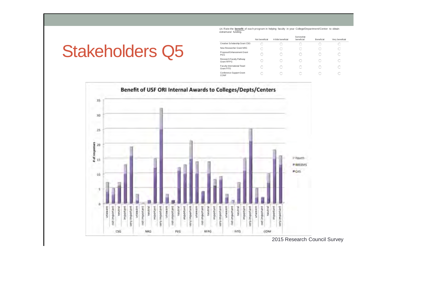*Q5.* Rate the **benefit** of each program in helping faculty in your College/Department/Center to obtain extramural funding.

## Stakeholders Q5

|                                            | Not beneficial | A little honoficial | compwmat<br>beneficial | Reneficial | Very beneficial |
|--------------------------------------------|----------------|---------------------|------------------------|------------|-----------------|
| Creative Scholarship Grant CSG             |                |                     |                        |            |                 |
| New Researcher Grant NRG                   |                |                     |                        |            |                 |
| Proposal Enhancement Grant<br>PEG          |                |                     | с                      |            |                 |
| Research Faculty Pathway<br>Grant REPG     |                |                     |                        |            |                 |
| Faculty International Travel<br>Grant FITG |                |                     |                        |            |                 |
| Conference Support Grant<br>CONF           |                |                     |                        |            |                 |

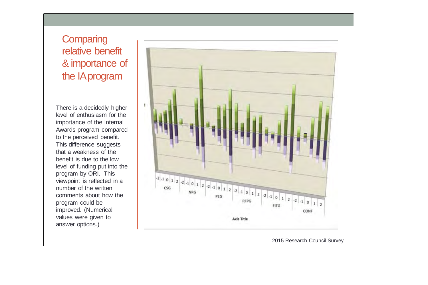#### **Comparing** relativ e benefit & importanc e of the IAprogram

There is a decidedly higher level of enthusiasm for the importance of the Internal Awards program compared to the perceived benefit.<br>This difference suggests that a weakness of the benefit is due to the low level of funding put into the program by ORI. This viewpoint is re flected in a number of the written comments about how the program could be improved. (Numerical values were given to answer op tions. )

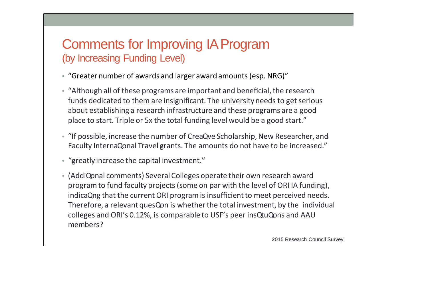### Comments for Improving IAProgram (by Increasing Funding Level)

- "Greater number of awards and larger award amounts (esp. NRG)"
- "Although all of these programs are important and beneficial, the research funds dedicated to them are insignificant. The university needs to get serious about establishing a research infrastructure and these programs are a good place to start. Triple or 5x the total funding level would be a good start."
- "If possible, increase the number of CreaQve Scholarship, New Researcher, and Faculty InternaQonal Travel grants. The amounts do not have to be increased."
- "greatly increase the capital investment."
- (AddiQonal comments) Several Colleges operate their own research award programto fund faculty projects (some on par with the level of ORI IA funding), indicaQng that the current ORI program is insufficient to meet perceived needs. Therefore, a relevant quesQon is whether the total investment, by the individual colleges and ORI's 0.12%, is comparable to USF's peer insQtuQons and AAU members?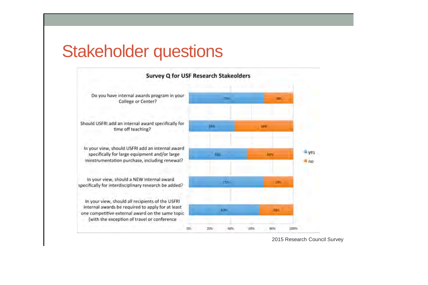## Stakeholder questions



<sup>2015</sup> Research Council Survey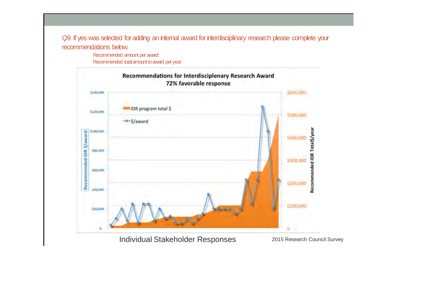*Q9.* If yes was selected for adding an internal award forinterdisciplinary research please complete your recommendations below.

> Recommended amount peraward: Recommended total amount to award per year:



2015 Research Council Survey Individual Stakeholder Responses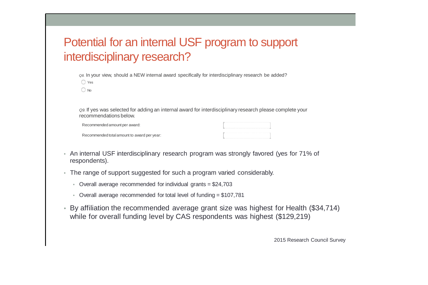## Potential for an internal USF program to support interdisciplinary research?

*Q8.* In your view, should a NEW internal award specifically for interdisciplinary research be added?  $\bigcap$  Yes  $\bigcirc$  No

*Q9.* If yes was selected for adding an internal award for interdisciplinary research please complete your recommendations below.

| Recommended amount per award:               |  |
|---------------------------------------------|--|
| Recommended total amount to award per year: |  |

- An internal USF interdisciplinary research program was strongly favored (yes for 71% of respondents).
- The range of support suggested for such a program varied considerably.
	- Overall average recommended for individual grants = \$24,703
	- Overall average recommended for total level of funding = \$107,781
- By affiliation the recommended average grant size was highest for Health (\$34,714) while for overall funding level by CAS respondents was highest (\$129,219)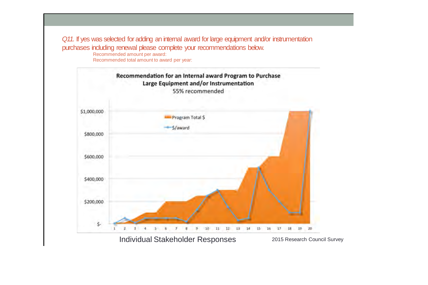*Q11.* If yes was selected for adding an internal award for large equipment and/or instrumentation purchases including renewal please complete your recommendations below.

Recommended amount per award: Recommended total amount to award per year:

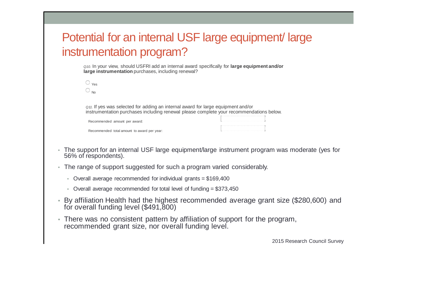## Potential for an internal USF large equipment/ large instrumentation program?

*Q10.* In your view, should USFRI add an internal award specifically for **large equipment and/or large instrumentation** purchases, including renewal?

| $\sim$ |
|--------|

*Q11.* If yes was selected for adding an internal award for large equipment and/or instrumentation purchases including renewal please complete your recommendations below.

| Recommended amount per award:               |  |
|---------------------------------------------|--|
| Recommended total amount to award per year: |  |

- The support for an internal USF large equipment/large instrument program was moderate (yes for 56% of respondents).
- The range of support suggested for such a program varied considerably.
	- Overall average recommended for individual grants = \$169,400
	- Overall average recommended for total level of funding = \$373,450
- By affiliation Health had the highest recommended average grant size (\$280,600) and for overall funding level (\$491,800)
- There was no consistent pattern by affiliation of support for the program, recommended grant size, nor overall funding level.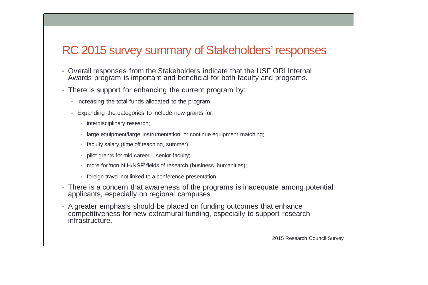#### RC 2015 survey summary of Stakeholders' responses

- Overall responses from the Stakeholders indicate that the USF ORI Internal Awards program is important and beneficial for both faculty and programs.
- There is support for enhancing the current program by:
	- increasing the total funds allocated to the program
	- Expanding the categories to include new grants for:
		- interdisciplinary research;
		- large equipment/large instrumentation, or continue equipment matching;
		- faculty salary (time off teaching, summer);
		- pilot grants for mid career senior faculty:
		- more for 'non NIH/NSF' fields of research (business, humanities);
		- foreign travel not linked to a conference presentation.
- There is a concern that awareness of the programs is inadequate among potential applicants, especially on regional campuses.
- A greater emphasis should be placed on funding outcomes that enhance competitiveness for new extramural funding, especially to support research infrastructure.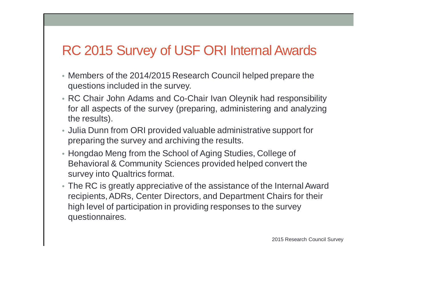## RC 2015 Survey of USF ORI Internal Awards

- Members of the 2014/2015 Research Council helped prepare the questions included in the survey.
- RC Chair John Adams and Co-Chair Ivan Oleynik had responsibility for all aspects of the survey (preparing, administering and analyzing the results).
- Julia Dunn from ORI provided valuable administrative support for preparing the survey and archiving the results.
- Hongdao Meng from the School of Aging Studies, College of Behavioral & Community Sciences provided helped convert the survey into Qualtrics format.
- The RC is greatly appreciative of the assistance of the Internal Award recipients,ADRs, Center Directors, and Department Chairs for their high level of participation in providing responses to the survey questionnaires.